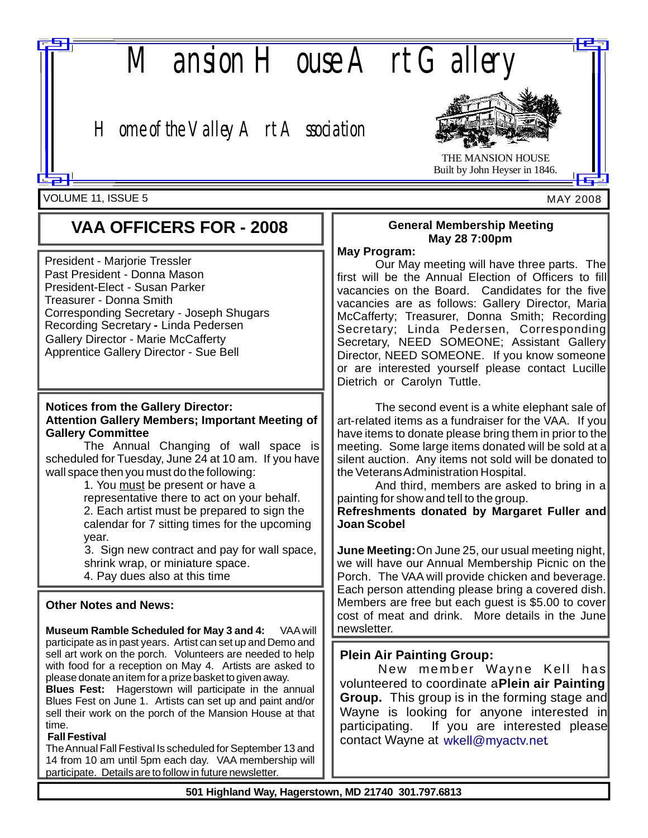

# *Home of the Valley Art Association*



THE MANSION HOUSE Built by John Heyser in 1846.

MAY 2008

VOLUME 11, ISSUE 5

# **VAA OFFICERS FOR - 2008**

Corresponding Secretary - Joseph Shugars **Recording Secretary - Linda Pedersen** Apprentice Gallery Director - Sue Bell President - Marjorie Tressler Past President - Donna Mason President-Elect - Susan Parker Gallery Director - Marie McCafferty Treasurer - Donna Smith

#### **Notices from the Gallery Director: Attention Gallery Members; Important Meeting of Gallery Committee**

The Annual Changing of wall space is scheduled for Tuesday, June 24 at 10 am. If you have wall space then you must do the following:

> 1. You must be present or have a representative there to act on your behalf. 2. Each artist must be prepared to sign the calendar for 7 sitting times for the upcoming year.

3. Sign new contract and pay for wall space, shrink wrap, or miniature space. 4. Pay dues also at this time

#### **Other Notes and News:**

**Museum Ramble Scheduled for May 3 and 4:** VAA will participate as in past years. Artist can set up and Demo and sell art work on the porch. Volunteers are needed to help with food for a reception on May 4. Artists are asked to please donate an item for a prize basket to given away.

**Blues Fest:** Hagerstown will participate in the annual Blues Fest on June 1. Artists can set up and paint and/or sell their work on the porch of the Mansion House at that time.

#### **Fall Festival**

TheAnnual Fall Festival Is scheduled for September 13 and 14 from 10 am until 5pm each day. VAA membership will participate. Details are to follow in future newsletter.

## **General Membership Meeting May 28 7:00pm**

#### **May Program:**

Our May meeting will have three parts. The first will be the Annual Election of Officers to fill vacancies on the Board. Candidates for the five vacancies are as follows: Gallery Director, Maria McCafferty; Treasurer, Donna Smith; Recording Secretary; Linda Pedersen, Corresponding Secretary, NEED SOMEONE; Assistant Gallery Director, NEED SOMEONE. If you know someone or are interested yourself please contact Lucille Dietrich or Carolyn Tuttle.

The second event is a white elephant sale of art-related items as a fundraiser for the VAA. If you have items to donate please bring them in prior to the meeting. Some large items donated will be sold at a silent auction. Any items not sold will be donated to the VeteransAdministration Hospital.

And third, members are asked to bring in a painting for show and tell to the group.

**Refreshments donated by Margaret Fuller and Joan Scobel**

**June Meeting:** On June 25, our usual meeting night, we will have our Annual Membership Picnic on the Porch. The VAA will provide chicken and beverage. Each person attending please bring a covered dish. Members are free but each quest is \$5.00 to cover cost of meat and drink. More details in the June newsletter.

# **Plein Air Painting Group:**

volunteered to coordinate aPlein air Painting **Group.** This group is in the forming stage and New member Wayne Kell has Wayne is looking for anyone interested in participating. If you are interested please contact Wayne at wkell@myactv.net.

**501 Highland Way, Hagerstown, MD 21740 301.797.6813**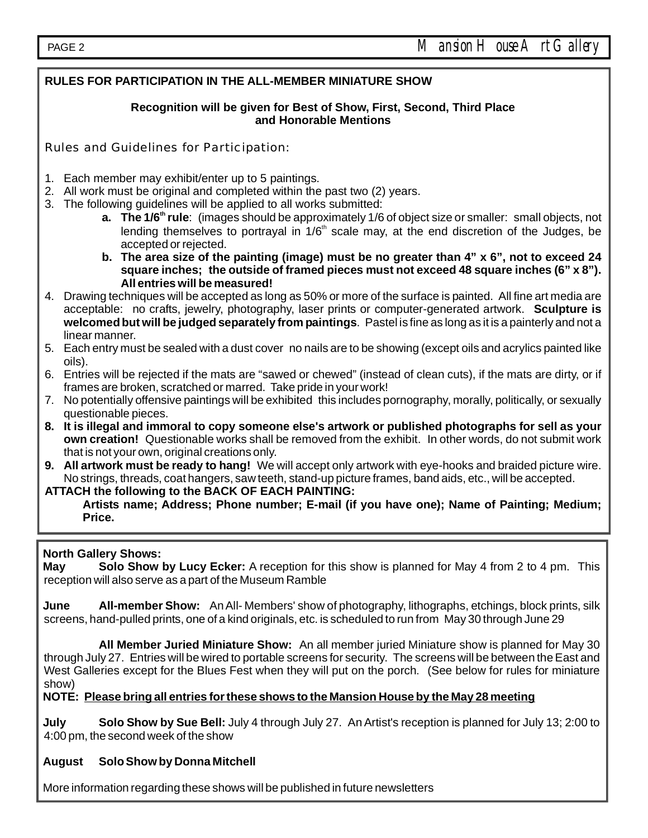# **RULES FOR PARTICIPATION IN THE ALL-MEMBER MINIATURE SHOW**

#### **Recognition will be given for Best of Show, First, Second, Third Place and Honorable Mentions**

Rules and Guidelines for Participation:

- 1. Each member may exhibit/enter up to 5 paintings.
- 2. All work must be original and completed within the past two (2) years.
- 3. The following guidelines will be applied to all works submitted:
	- **a.** The 1/6<sup>th</sup> rule: (images should be approximately 1/6 of object size or smaller: small objects, not lending themselves to portrayal in 1/6<sup>th</sup> scale may, at the end discretion of the Judges, be accepted or rejected.
	- **b. The area size of the painting (image) must be no greater than 4" x 6", not to exceed 24 square inches; the outside of framed pieces must not exceed 48 square inches (6" x 8"). All entries will be measured!**
- acceptable: no crafts, jewelry, photography, laser prints or computer-generated artwork. **Sculpture is welcomed but will be judged separately from paintings** . Pastel is fine as long as it is a painterly and not a 4. Drawing techniques will be accepted as long as 50% or more of the surface is painted. All fine art media are linear manner.
- 5. Each entry must be sealed with a dust cover no nails are to be showing (except oils and acrylics painted like oils).
- 6. Entries will be rejected if the mats are "sawed or chewed" (instead of clean cuts), if the mats are dirty, or if frames are broken, scratched or marred. Take pride in your work!
- 7. No potentially offensive paintings will be exhibited this includes pornography, morally, politically, or sexually questionable pieces.
- **8. It is illegal and immoral to copy someone else's artwork or published photographs for sell as your own creation!** Questionable works shall be removed from the exhibit. In other words, do not submit work that is not your own, original creations only.
- **9. All artwork must be ready to hang!** We will accept only artwork with eye-hooks and braided picture wire. No strings, threads, coat hangers, saw teeth, stand-up picture frames, band aids, etc., will be accepted.
- **ATTACH the following to the BACK OF EACH PAINTING:**

**Artists name; Address; Phone number; E-mail (if you have one); Name of Painting; Medium; Price.**

### **North Gallery Shows:**

May Solo Show by Lucy Ecker: A reception for this show is planned for May 4 from 2 to 4 pm. This reception will also serve as a part of the Museum Ramble

**June All-member Show:** An All-Members' show of photography, lithographs, etchings, block prints, silk screens, hand-pulled prints, one of a kind originals, etc. is scheduled to run from May 30 through June 29

All Member Juried Miniature Show: An all member juried Miniature show is planned for May 30 through July 27. Entries will be wired to portable screens for security. The screens will be between the East and West Galleries except for the Blues Fest when they will put on the porch. (See below for rules for miniature show)

**NOTE: Please bring all entries for these shows to the Mansion House by the May 28 meeting**

July Solo Show by Sue Bell: July 4 through July 27. An Artist's reception is planned for July 13; 2:00 to 4:00 pm, the second week of the show

### **August Solo Show by Donna Mitchell**

More information regarding these shows will be published in future newsletters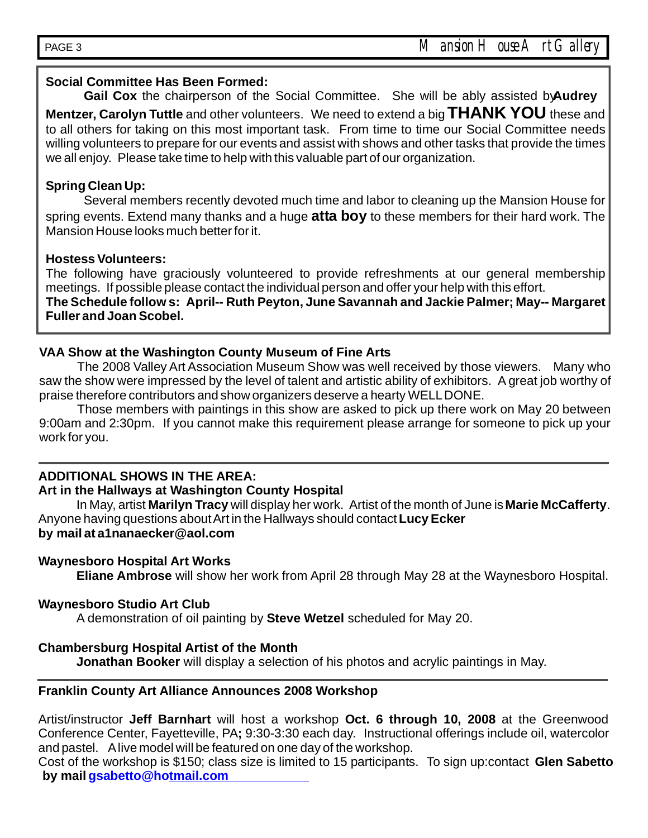## **Social Committee Has Been Formed:**

Gail Cox the chairperson of the Social Committee. She will be ably assisted by **Audrey Mentzer, Carolyn Tuttle** and other volunteers. We need to extend a big  $\mathsf{THANK}$   $\mathsf{YOU}$  these and to all others for taking on this most important task. From time to time our Social Committee needs willing volunteers to prepare for our events and assist with shows and other tasks that provide the times we all enjoy. Please take time to help with this valuable part of our organization.

# **Spring Clean Up:**

Several members recently devoted much time and labor to cleaning up the Mansion House for spring events. Extend many thanks and a huge **atta boy** to these members for their hard work. The Mansion House looks much better for it.

# **Hostess Volunteers:**

The following have graciously volunteered to provide refreshments at our general membership meetings. If possible please contact the individual person and offer your help with this effort.

**The Schedule follow s: April-- Ruth Peyton, June Savannah and Jackie Palmer; May-- Margaret Fuller and Joan Scobel.**

# **VAA Show at the Washington County Museum of Fine Arts**

The 2008 Valley Art Association Museum Show was well received by those viewers. Many who saw the show were impressed by the level of talent and artistic ability of exhibitors. A great job worthy of praise therefore contributors and show organizers deserve a hearty WELLDONE.

Those members with paintings in this show are asked to pick up there work on May 20 between 9:00am and 2:30pm. If you cannot make this requirement please arrange for someone to pick up your work for you.

# **ADDITIONAL SHOWS IN THE AREA:**

### **Art in the Hallways at Washington County Hospital**

In May, artist **Marilyn Tracy** will display her work. Artist of the month of June is **Marie McCafferty**. Anyone having questions aboutArt in the Hallways should contact**Lucy Ecker by mail at a1nanaecker@aol.com**

### **Waynesboro Hospital Art Works**

**Eliane Ambrose** will show her work from April 28 through May 28 at the Waynesboro Hospital.

### **Waynesboro Studio Art Club**

A demonstration of oil painting by **Steve Wetzel** scheduled for May 20.

### **Chambersburg Hospital Artist of the Month**

**Jonathan Booker** will display a selection of his photos and acrylic paintings in May.

### **Franklin County Art Alliance Announces 2008 Workshop**

Artist/instructor Jeff Barnhart will host a workshop Oct. 6 through 10, 2008 at the Greenwood Conference Center, Fayetteville, PA; 9:30-3:30 each day. Instructional offerings include oil, watercolor and pastel. Alive model will be featured on one day of the workshop.

**by mail gsabetto@hotmail.com** Cost of the workshop is \$150; class size is limited to 15 participants. To sign up:contact **Glen Sabetto**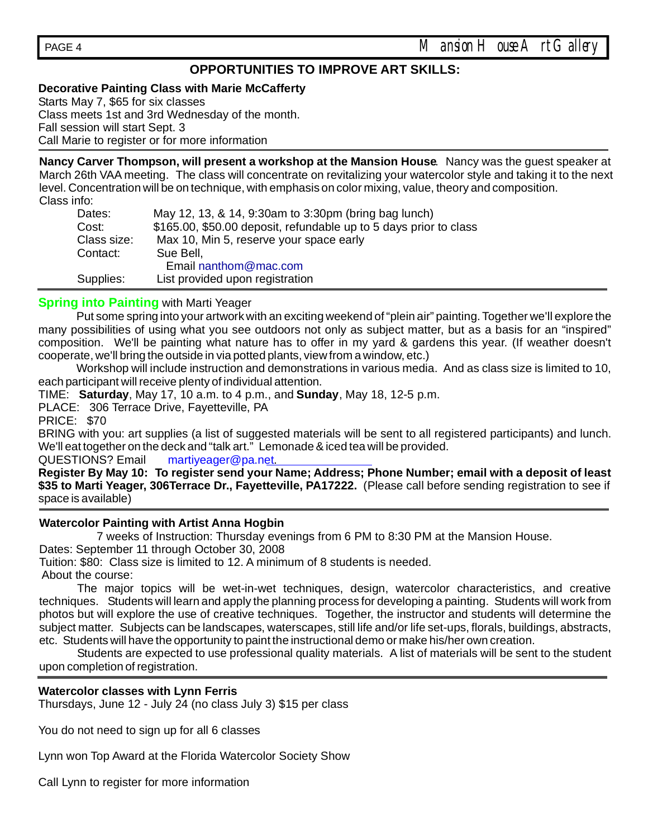# **OPPORTUNITIES TO IMPROVE ART SKILLS:**

#### **Decorative Painting Class with Marie McCafferty**

Starts May 7, \$65 for six classes Class meets 1st and 3rd Wednesday of the month. Fall session will start Sept. 3 Call Marie to register or for more information

**Nancy Carver Thompson, will present a workshop at the Mansion House**. Nancy was the guest speaker at March 26th VAA meeting. The class will concentrate on revitalizing your watercolor style and taking it to the next level. Concentration will be on technique, with emphasis on color mixing, value, theory and composition. Class info:

| Dates:      | May 12, 13, & 14, 9:30am to 3:30pm (bring bag lunch)              |  |  |  |
|-------------|-------------------------------------------------------------------|--|--|--|
| Cost:       | \$165.00, \$50.00 deposit, refundable up to 5 days prior to class |  |  |  |
| Class size: | Max 10, Min 5, reserve your space early                           |  |  |  |
| Contact:    | Sue Bell,                                                         |  |  |  |
|             | Email nanthom@mac.com                                             |  |  |  |
| Supplies:   | List provided upon registration                                   |  |  |  |

#### **Spring into Painting** with Marti Yeager

Put some spring into your artwork with an exciting weekend of "plein air" painting. Together we'll explore the many possibilities of using what you see outdoors not only as subject matter, but as a basis for an "inspired" composition. We'll be painting what nature has to offer in my yard & gardens this year. (If weather doesn't cooperate, we'll bring the outside in via potted plants, view from a window, etc.)

Workshop will include instruction and demonstrations in various media. And as class size is limited to 10, each participant will receive plenty of individual attention.

TIME: Saturday, May 17, 10 a.m. to 4 p.m., and Sunday, May 18, 12-5 p.m.

PLACE: 306 Terrace Drive, Fayetteville, PA

PRICE: \$70

BRING with you: art supplies (a list of suggested materials will be sent to all registered participants) and lunch. We'll eat together on the deck and "talk art." Lemonade & iced tea will be provided.

QUESTIONS? Email martiyeager@pa.net.

\$35 to Marti Yeager, 306Terrace Dr., Fayetteville, PA17222. (Please call before sending registration to see if space is available) **Register By May 10: To register send your Name; Address; Phone Number; email with a deposit of least**

#### **Watercolor Painting with Artist Anna Hogbin**

7 weeks of Instruction: Thursday evenings from 6 PM to 8:30 PM at the Mansion House. Dates: September 11 through October 30, 2008

Tuition: \$80: Class size is limited to 12. A minimum of 8 students is needed.

About the course:

The major topics will be wet-in-wet techniques, design, watercolor characteristics, and creative techniques. Students will learn and apply the planning process for developing a painting. Students will work from photos but will explore the use of creative techniques. Together, the instructor and students will determine the subject matter. Subjects can be landscapes, waterscapes, still life and/or life set-ups, florals, buildings, abstracts, etc. Students will have the opportunity to paint the instructional demo or make his/her own creation.

Students are expected to use professional quality materials. A list of materials will be sent to the student upon completion of registration.

#### **Watercolor classes with Lynn Ferris**

Thursdays, June 12 - July 24 (no class July 3) \$15 per class

You do not need to sign up for all 6 classes

Lynn won Top Award at the Florida Watercolor Society Show

Call Lynn to register for more information